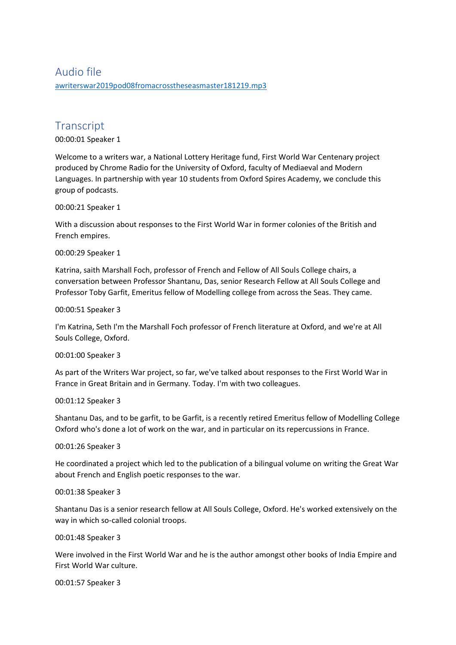# Audio file [awriterswar2019pod08fromacrosstheseasmaster181219.mp3](https://unioxfordnexus-my.sharepoint.com/personal/etrc0002_ox_ac_uk/Documents/Transcribed%20Files/awriterswar2019pod08fromacrosstheseasmaster181219.mp3)

# **Transcript**

00:00:01 Speaker 1

Welcome to a writers war, a National Lottery Heritage fund, First World War Centenary project produced by Chrome Radio for the University of Oxford, faculty of Mediaeval and Modern Languages. In partnership with year 10 students from Oxford Spires Academy, we conclude this group of podcasts.

00:00:21 Speaker 1

With a discussion about responses to the First World War in former colonies of the British and French empires.

00:00:29 Speaker 1

Katrina, saith Marshall Foch, professor of French and Fellow of All Souls College chairs, a conversation between Professor Shantanu, Das, senior Research Fellow at All Souls College and Professor Toby Garfit, Emeritus fellow of Modelling college from across the Seas. They came.

00:00:51 Speaker 3

I'm Katrina, Seth I'm the Marshall Foch professor of French literature at Oxford, and we're at All Souls College, Oxford.

00:01:00 Speaker 3

As part of the Writers War project, so far, we've talked about responses to the First World War in France in Great Britain and in Germany. Today. I'm with two colleagues.

00:01:12 Speaker 3

Shantanu Das, and to be garfit, to be Garfit, is a recently retired Emeritus fellow of Modelling College Oxford who's done a lot of work on the war, and in particular on its repercussions in France.

00:01:26 Speaker 3

He coordinated a project which led to the publication of a bilingual volume on writing the Great War about French and English poetic responses to the war.

00:01:38 Speaker 3

Shantanu Das is a senior research fellow at All Souls College, Oxford. He's worked extensively on the way in which so-called colonial troops.

00:01:48 Speaker 3

Were involved in the First World War and he is the author amongst other books of India Empire and First World War culture.

00:01:57 Speaker 3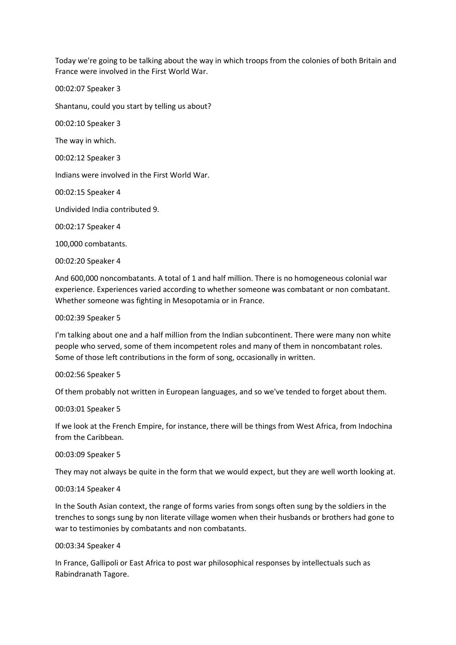Today we're going to be talking about the way in which troops from the colonies of both Britain and France were involved in the First World War.

00:02:07 Speaker 3

Shantanu, could you start by telling us about?

00:02:10 Speaker 3

The way in which.

00:02:12 Speaker 3

Indians were involved in the First World War.

00:02:15 Speaker 4

Undivided India contributed 9.

00:02:17 Speaker 4

100,000 combatants.

00:02:20 Speaker 4

And 600,000 noncombatants. A total of 1 and half million. There is no homogeneous colonial war experience. Experiences varied according to whether someone was combatant or non combatant. Whether someone was fighting in Mesopotamia or in France.

00:02:39 Speaker 5

I'm talking about one and a half million from the Indian subcontinent. There were many non white people who served, some of them incompetent roles and many of them in noncombatant roles. Some of those left contributions in the form of song, occasionally in written.

00:02:56 Speaker 5

Of them probably not written in European languages, and so we've tended to forget about them.

00:03:01 Speaker 5

If we look at the French Empire, for instance, there will be things from West Africa, from Indochina from the Caribbean.

00:03:09 Speaker 5

They may not always be quite in the form that we would expect, but they are well worth looking at.

# 00:03:14 Speaker 4

In the South Asian context, the range of forms varies from songs often sung by the soldiers in the trenches to songs sung by non literate village women when their husbands or brothers had gone to war to testimonies by combatants and non combatants.

# 00:03:34 Speaker 4

In France, Gallipoli or East Africa to post war philosophical responses by intellectuals such as Rabindranath Tagore.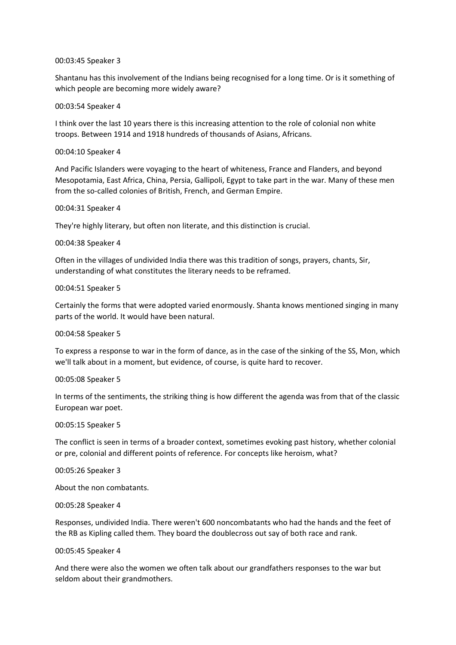## 00:03:45 Speaker 3

Shantanu has this involvement of the Indians being recognised for a long time. Or is it something of which people are becoming more widely aware?

## 00:03:54 Speaker 4

I think over the last 10 years there is this increasing attention to the role of colonial non white troops. Between 1914 and 1918 hundreds of thousands of Asians, Africans.

## 00:04:10 Speaker 4

And Pacific Islanders were voyaging to the heart of whiteness, France and Flanders, and beyond Mesopotamia, East Africa, China, Persia, Gallipoli, Egypt to take part in the war. Many of these men from the so-called colonies of British, French, and German Empire.

# 00:04:31 Speaker 4

They're highly literary, but often non literate, and this distinction is crucial.

## 00:04:38 Speaker 4

Often in the villages of undivided India there was this tradition of songs, prayers, chants, Sir, understanding of what constitutes the literary needs to be reframed.

## 00:04:51 Speaker 5

Certainly the forms that were adopted varied enormously. Shanta knows mentioned singing in many parts of the world. It would have been natural.

# 00:04:58 Speaker 5

To express a response to war in the form of dance, as in the case of the sinking of the SS, Mon, which we'll talk about in a moment, but evidence, of course, is quite hard to recover.

#### 00:05:08 Speaker 5

In terms of the sentiments, the striking thing is how different the agenda was from that of the classic European war poet.

#### 00:05:15 Speaker 5

The conflict is seen in terms of a broader context, sometimes evoking past history, whether colonial or pre, colonial and different points of reference. For concepts like heroism, what?

#### 00:05:26 Speaker 3

About the non combatants.

#### 00:05:28 Speaker 4

Responses, undivided India. There weren't 600 noncombatants who had the hands and the feet of the RB as Kipling called them. They board the doublecross out say of both race and rank.

#### 00:05:45 Speaker 4

And there were also the women we often talk about our grandfathers responses to the war but seldom about their grandmothers.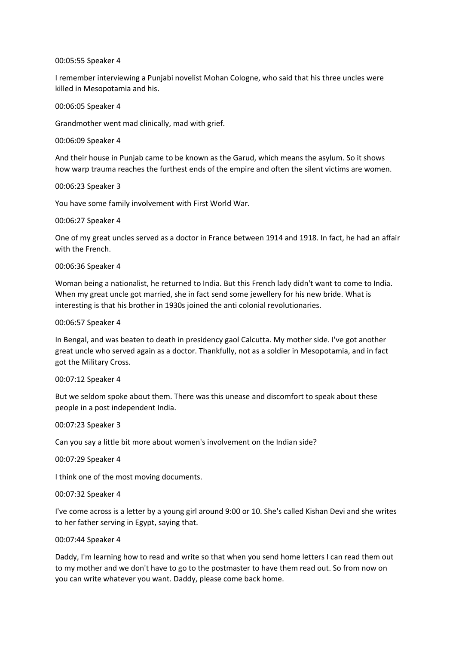# 00:05:55 Speaker 4

I remember interviewing a Punjabi novelist Mohan Cologne, who said that his three uncles were killed in Mesopotamia and his.

00:06:05 Speaker 4

Grandmother went mad clinically, mad with grief.

00:06:09 Speaker 4

And their house in Punjab came to be known as the Garud, which means the asylum. So it shows how warp trauma reaches the furthest ends of the empire and often the silent victims are women.

00:06:23 Speaker 3

You have some family involvement with First World War.

00:06:27 Speaker 4

One of my great uncles served as a doctor in France between 1914 and 1918. In fact, he had an affair with the French.

00:06:36 Speaker 4

Woman being a nationalist, he returned to India. But this French lady didn't want to come to India. When my great uncle got married, she in fact send some jewellery for his new bride. What is interesting is that his brother in 1930s joined the anti colonial revolutionaries.

00:06:57 Speaker 4

In Bengal, and was beaten to death in presidency gaol Calcutta. My mother side. I've got another great uncle who served again as a doctor. Thankfully, not as a soldier in Mesopotamia, and in fact got the Military Cross.

00:07:12 Speaker 4

But we seldom spoke about them. There was this unease and discomfort to speak about these people in a post independent India.

00:07:23 Speaker 3

Can you say a little bit more about women's involvement on the Indian side?

00:07:29 Speaker 4

I think one of the most moving documents.

00:07:32 Speaker 4

I've come across is a letter by a young girl around 9:00 or 10. She's called Kishan Devi and she writes to her father serving in Egypt, saying that.

# 00:07:44 Speaker 4

Daddy, I'm learning how to read and write so that when you send home letters I can read them out to my mother and we don't have to go to the postmaster to have them read out. So from now on you can write whatever you want. Daddy, please come back home.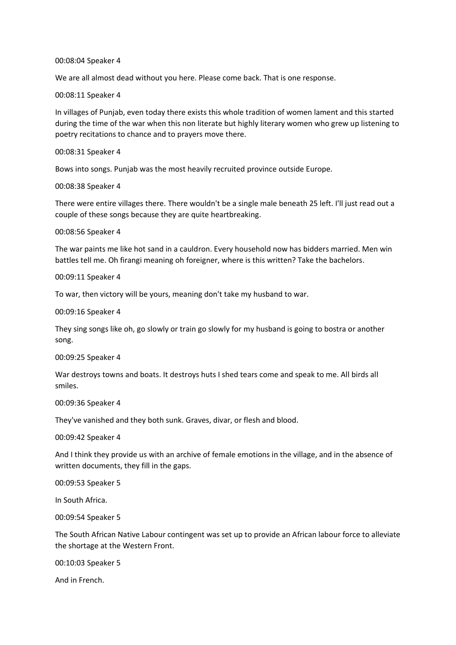## 00:08:04 Speaker 4

We are all almost dead without you here. Please come back. That is one response.

00:08:11 Speaker 4

In villages of Punjab, even today there exists this whole tradition of women lament and this started during the time of the war when this non literate but highly literary women who grew up listening to poetry recitations to chance and to prayers move there.

#### 00:08:31 Speaker 4

Bows into songs. Punjab was the most heavily recruited province outside Europe.

00:08:38 Speaker 4

There were entire villages there. There wouldn't be a single male beneath 25 left. I'll just read out a couple of these songs because they are quite heartbreaking.

## 00:08:56 Speaker 4

The war paints me like hot sand in a cauldron. Every household now has bidders married. Men win battles tell me. Oh firangi meaning oh foreigner, where is this written? Take the bachelors.

## 00:09:11 Speaker 4

To war, then victory will be yours, meaning don't take my husband to war.

00:09:16 Speaker 4

They sing songs like oh, go slowly or train go slowly for my husband is going to bostra or another song.

00:09:25 Speaker 4

War destroys towns and boats. It destroys huts I shed tears come and speak to me. All birds all smiles.

#### 00:09:36 Speaker 4

They've vanished and they both sunk. Graves, divar, or flesh and blood.

00:09:42 Speaker 4

And I think they provide us with an archive of female emotions in the village, and in the absence of written documents, they fill in the gaps.

00:09:53 Speaker 5

In South Africa.

00:09:54 Speaker 5

The South African Native Labour contingent was set up to provide an African labour force to alleviate the shortage at the Western Front.

00:10:03 Speaker 5

And in French.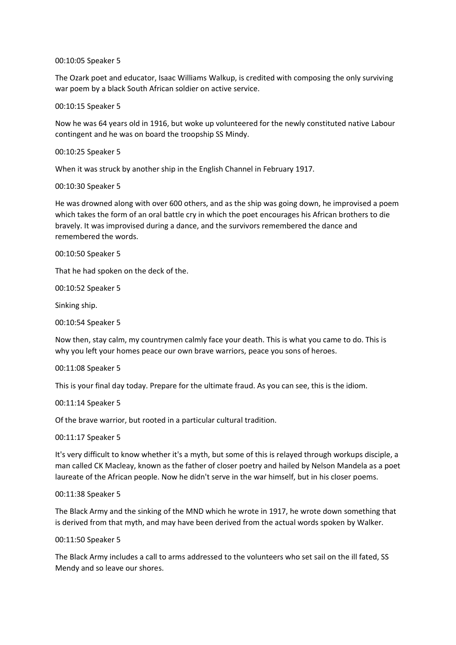# 00:10:05 Speaker 5

The Ozark poet and educator, Isaac Williams Walkup, is credited with composing the only surviving war poem by a black South African soldier on active service.

# 00:10:15 Speaker 5

Now he was 64 years old in 1916, but woke up volunteered for the newly constituted native Labour contingent and he was on board the troopship SS Mindy.

# 00:10:25 Speaker 5

When it was struck by another ship in the English Channel in February 1917.

# 00:10:30 Speaker 5

He was drowned along with over 600 others, and as the ship was going down, he improvised a poem which takes the form of an oral battle cry in which the poet encourages his African brothers to die bravely. It was improvised during a dance, and the survivors remembered the dance and remembered the words.

# 00:10:50 Speaker 5

That he had spoken on the deck of the.

00:10:52 Speaker 5

Sinking ship.

00:10:54 Speaker 5

Now then, stay calm, my countrymen calmly face your death. This is what you came to do. This is why you left your homes peace our own brave warriors, peace you sons of heroes.

00:11:08 Speaker 5

This is your final day today. Prepare for the ultimate fraud. As you can see, this is the idiom.

00:11:14 Speaker 5

Of the brave warrior, but rooted in a particular cultural tradition.

00:11:17 Speaker 5

It's very difficult to know whether it's a myth, but some of this is relayed through workups disciple, a man called CK Macleay, known as the father of closer poetry and hailed by Nelson Mandela as a poet laureate of the African people. Now he didn't serve in the war himself, but in his closer poems.

# 00:11:38 Speaker 5

The Black Army and the sinking of the MND which he wrote in 1917, he wrote down something that is derived from that myth, and may have been derived from the actual words spoken by Walker.

# 00:11:50 Speaker 5

The Black Army includes a call to arms addressed to the volunteers who set sail on the ill fated, SS Mendy and so leave our shores.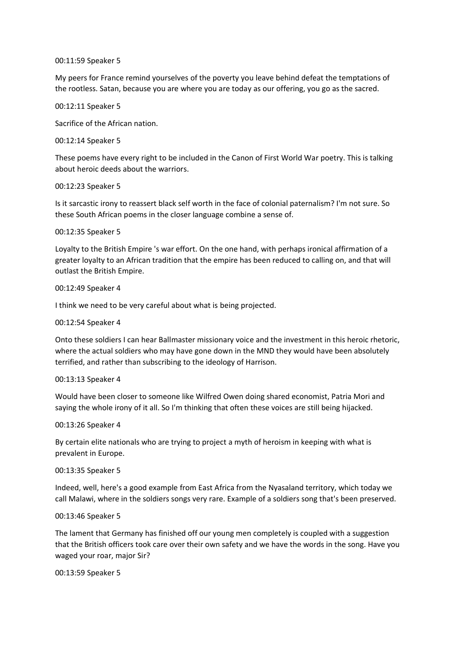# 00:11:59 Speaker 5

My peers for France remind yourselves of the poverty you leave behind defeat the temptations of the rootless. Satan, because you are where you are today as our offering, you go as the sacred.

00:12:11 Speaker 5

Sacrifice of the African nation.

00:12:14 Speaker 5

These poems have every right to be included in the Canon of First World War poetry. This is talking about heroic deeds about the warriors.

## 00:12:23 Speaker 5

Is it sarcastic irony to reassert black self worth in the face of colonial paternalism? I'm not sure. So these South African poems in the closer language combine a sense of.

# 00:12:35 Speaker 5

Loyalty to the British Empire 's war effort. On the one hand, with perhaps ironical affirmation of a greater loyalty to an African tradition that the empire has been reduced to calling on, and that will outlast the British Empire.

## 00:12:49 Speaker 4

I think we need to be very careful about what is being projected.

# 00:12:54 Speaker 4

Onto these soldiers I can hear Ballmaster missionary voice and the investment in this heroic rhetoric, where the actual soldiers who may have gone down in the MND they would have been absolutely terrified, and rather than subscribing to the ideology of Harrison.

#### 00:13:13 Speaker 4

Would have been closer to someone like Wilfred Owen doing shared economist, Patria Mori and saying the whole irony of it all. So I'm thinking that often these voices are still being hijacked.

#### 00:13:26 Speaker 4

By certain elite nationals who are trying to project a myth of heroism in keeping with what is prevalent in Europe.

#### 00:13:35 Speaker 5

Indeed, well, here's a good example from East Africa from the Nyasaland territory, which today we call Malawi, where in the soldiers songs very rare. Example of a soldiers song that's been preserved.

## 00:13:46 Speaker 5

The lament that Germany has finished off our young men completely is coupled with a suggestion that the British officers took care over their own safety and we have the words in the song. Have you waged your roar, major Sir?

# 00:13:59 Speaker 5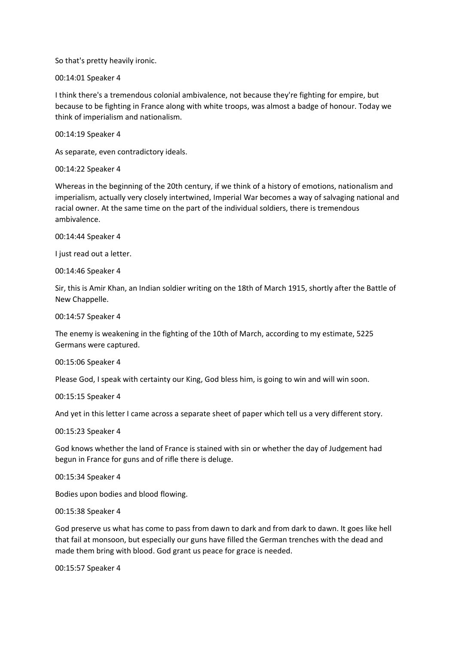So that's pretty heavily ironic.

00:14:01 Speaker 4

I think there's a tremendous colonial ambivalence, not because they're fighting for empire, but because to be fighting in France along with white troops, was almost a badge of honour. Today we think of imperialism and nationalism.

00:14:19 Speaker 4

As separate, even contradictory ideals.

00:14:22 Speaker 4

Whereas in the beginning of the 20th century, if we think of a history of emotions, nationalism and imperialism, actually very closely intertwined, Imperial War becomes a way of salvaging national and racial owner. At the same time on the part of the individual soldiers, there is tremendous ambivalence.

00:14:44 Speaker 4

I just read out a letter.

00:14:46 Speaker 4

Sir, this is Amir Khan, an Indian soldier writing on the 18th of March 1915, shortly after the Battle of New Chappelle.

00:14:57 Speaker 4

The enemy is weakening in the fighting of the 10th of March, according to my estimate, 5225 Germans were captured.

00:15:06 Speaker 4

Please God, I speak with certainty our King, God bless him, is going to win and will win soon.

00:15:15 Speaker 4

And yet in this letter I came across a separate sheet of paper which tell us a very different story.

00:15:23 Speaker 4

God knows whether the land of France is stained with sin or whether the day of Judgement had begun in France for guns and of rifle there is deluge.

00:15:34 Speaker 4

Bodies upon bodies and blood flowing.

00:15:38 Speaker 4

God preserve us what has come to pass from dawn to dark and from dark to dawn. It goes like hell that fail at monsoon, but especially our guns have filled the German trenches with the dead and made them bring with blood. God grant us peace for grace is needed.

00:15:57 Speaker 4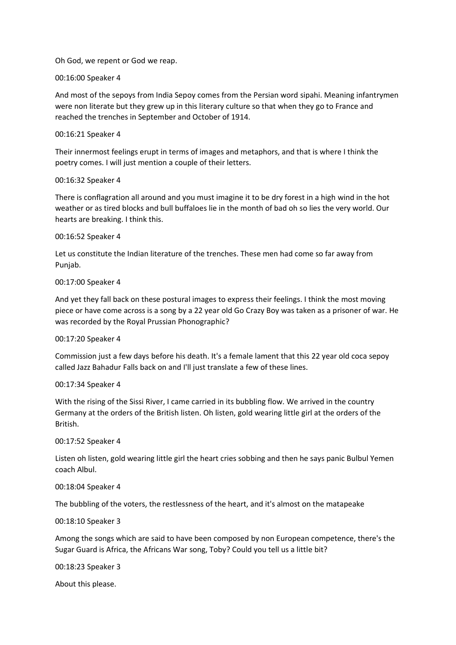Oh God, we repent or God we reap.

# 00:16:00 Speaker 4

And most of the sepoys from India Sepoy comes from the Persian word sipahi. Meaning infantrymen were non literate but they grew up in this literary culture so that when they go to France and reached the trenches in September and October of 1914.

# 00:16:21 Speaker 4

Their innermost feelings erupt in terms of images and metaphors, and that is where I think the poetry comes. I will just mention a couple of their letters.

# 00:16:32 Speaker 4

There is conflagration all around and you must imagine it to be dry forest in a high wind in the hot weather or as tired blocks and bull buffaloes lie in the month of bad oh so lies the very world. Our hearts are breaking. I think this.

# 00:16:52 Speaker 4

Let us constitute the Indian literature of the trenches. These men had come so far away from Punjab.

# 00:17:00 Speaker 4

And yet they fall back on these postural images to express their feelings. I think the most moving piece or have come across is a song by a 22 year old Go Crazy Boy was taken as a prisoner of war. He was recorded by the Royal Prussian Phonographic?

# 00:17:20 Speaker 4

Commission just a few days before his death. It's a female lament that this 22 year old coca sepoy called Jazz Bahadur Falls back on and I'll just translate a few of these lines.

# 00:17:34 Speaker 4

With the rising of the Sissi River, I came carried in its bubbling flow. We arrived in the country Germany at the orders of the British listen. Oh listen, gold wearing little girl at the orders of the British.

# 00:17:52 Speaker 4

Listen oh listen, gold wearing little girl the heart cries sobbing and then he says panic Bulbul Yemen coach Albul.

# 00:18:04 Speaker 4

The bubbling of the voters, the restlessness of the heart, and it's almost on the matapeake

# 00:18:10 Speaker 3

Among the songs which are said to have been composed by non European competence, there's the Sugar Guard is Africa, the Africans War song, Toby? Could you tell us a little bit?

00:18:23 Speaker 3

About this please.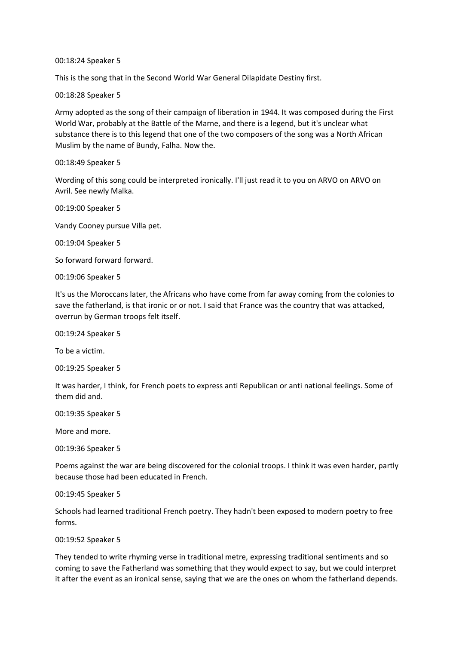00:18:24 Speaker 5

This is the song that in the Second World War General Dilapidate Destiny first.

00:18:28 Speaker 5

Army adopted as the song of their campaign of liberation in 1944. It was composed during the First World War, probably at the Battle of the Marne, and there is a legend, but it's unclear what substance there is to this legend that one of the two composers of the song was a North African Muslim by the name of Bundy, Falha. Now the.

## 00:18:49 Speaker 5

Wording of this song could be interpreted ironically. I'll just read it to you on ARVO on ARVO on Avril. See newly Malka.

00:19:00 Speaker 5

Vandy Cooney pursue Villa pet.

00:19:04 Speaker 5

So forward forward forward.

00:19:06 Speaker 5

It's us the Moroccans later, the Africans who have come from far away coming from the colonies to save the fatherland, is that ironic or or not. I said that France was the country that was attacked, overrun by German troops felt itself.

00:19:24 Speaker 5

To be a victim.

00:19:25 Speaker 5

It was harder, I think, for French poets to express anti Republican or anti national feelings. Some of them did and.

00:19:35 Speaker 5

More and more.

00:19:36 Speaker 5

Poems against the war are being discovered for the colonial troops. I think it was even harder, partly because those had been educated in French.

00:19:45 Speaker 5

Schools had learned traditional French poetry. They hadn't been exposed to modern poetry to free forms.

00:19:52 Speaker 5

They tended to write rhyming verse in traditional metre, expressing traditional sentiments and so coming to save the Fatherland was something that they would expect to say, but we could interpret it after the event as an ironical sense, saying that we are the ones on whom the fatherland depends.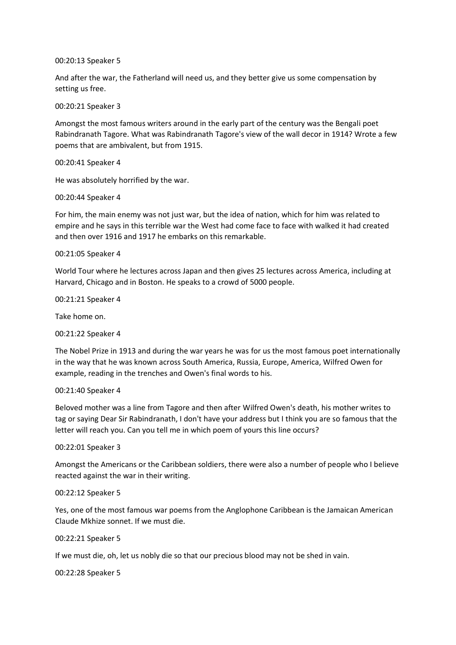00:20:13 Speaker 5

And after the war, the Fatherland will need us, and they better give us some compensation by setting us free.

00:20:21 Speaker 3

Amongst the most famous writers around in the early part of the century was the Bengali poet Rabindranath Tagore. What was Rabindranath Tagore's view of the wall decor in 1914? Wrote a few poems that are ambivalent, but from 1915.

00:20:41 Speaker 4

He was absolutely horrified by the war.

00:20:44 Speaker 4

For him, the main enemy was not just war, but the idea of nation, which for him was related to empire and he says in this terrible war the West had come face to face with walked it had created and then over 1916 and 1917 he embarks on this remarkable.

00:21:05 Speaker 4

World Tour where he lectures across Japan and then gives 25 lectures across America, including at Harvard, Chicago and in Boston. He speaks to a crowd of 5000 people.

00:21:21 Speaker 4

Take home on.

00:21:22 Speaker 4

The Nobel Prize in 1913 and during the war years he was for us the most famous poet internationally in the way that he was known across South America, Russia, Europe, America, Wilfred Owen for example, reading in the trenches and Owen's final words to his.

00:21:40 Speaker 4

Beloved mother was a line from Tagore and then after Wilfred Owen's death, his mother writes to tag or saying Dear Sir Rabindranath, I don't have your address but I think you are so famous that the letter will reach you. Can you tell me in which poem of yours this line occurs?

00:22:01 Speaker 3

Amongst the Americans or the Caribbean soldiers, there were also a number of people who I believe reacted against the war in their writing.

00:22:12 Speaker 5

Yes, one of the most famous war poems from the Anglophone Caribbean is the Jamaican American Claude Mkhize sonnet. If we must die.

00:22:21 Speaker 5

If we must die, oh, let us nobly die so that our precious blood may not be shed in vain.

00:22:28 Speaker 5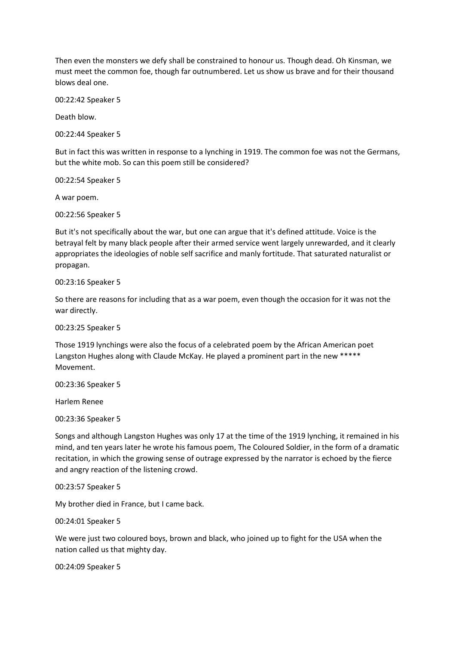Then even the monsters we defy shall be constrained to honour us. Though dead. Oh Kinsman, we must meet the common foe, though far outnumbered. Let us show us brave and for their thousand blows deal one.

00:22:42 Speaker 5

Death blow.

00:22:44 Speaker 5

But in fact this was written in response to a lynching in 1919. The common foe was not the Germans, but the white mob. So can this poem still be considered?

00:22:54 Speaker 5

A war poem.

00:22:56 Speaker 5

But it's not specifically about the war, but one can argue that it's defined attitude. Voice is the betrayal felt by many black people after their armed service went largely unrewarded, and it clearly appropriates the ideologies of noble self sacrifice and manly fortitude. That saturated naturalist or propagan.

00:23:16 Speaker 5

So there are reasons for including that as a war poem, even though the occasion for it was not the war directly.

00:23:25 Speaker 5

Those 1919 lynchings were also the focus of a celebrated poem by the African American poet Langston Hughes along with Claude McKay. He played a prominent part in the new \*\*\*\*\* Movement.

00:23:36 Speaker 5

Harlem Renee

00:23:36 Speaker 5

Songs and although Langston Hughes was only 17 at the time of the 1919 lynching, it remained in his mind, and ten years later he wrote his famous poem, The Coloured Soldier, in the form of a dramatic recitation, in which the growing sense of outrage expressed by the narrator is echoed by the fierce and angry reaction of the listening crowd.

00:23:57 Speaker 5

My brother died in France, but I came back.

00:24:01 Speaker 5

We were just two coloured boys, brown and black, who joined up to fight for the USA when the nation called us that mighty day.

00:24:09 Speaker 5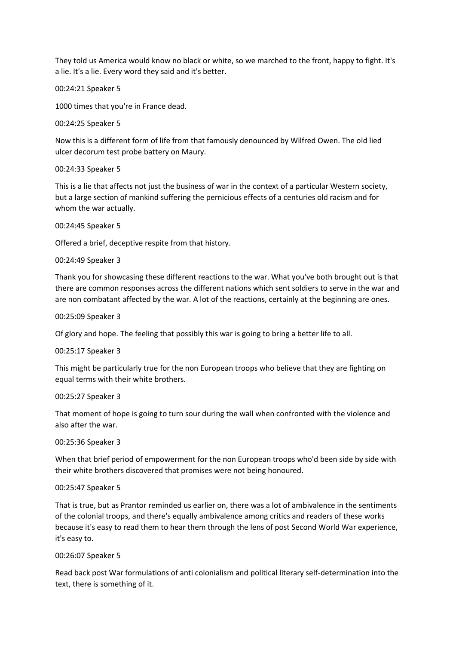They told us America would know no black or white, so we marched to the front, happy to fight. It's a lie. It's a lie. Every word they said and it's better.

00:24:21 Speaker 5

1000 times that you're in France dead.

00:24:25 Speaker 5

Now this is a different form of life from that famously denounced by Wilfred Owen. The old lied ulcer decorum test probe battery on Maury.

00:24:33 Speaker 5

This is a lie that affects not just the business of war in the context of a particular Western society, but a large section of mankind suffering the pernicious effects of a centuries old racism and for whom the war actually.

00:24:45 Speaker 5

Offered a brief, deceptive respite from that history.

00:24:49 Speaker 3

Thank you for showcasing these different reactions to the war. What you've both brought out is that there are common responses across the different nations which sent soldiers to serve in the war and are non combatant affected by the war. A lot of the reactions, certainly at the beginning are ones.

00:25:09 Speaker 3

Of glory and hope. The feeling that possibly this war is going to bring a better life to all.

00:25:17 Speaker 3

This might be particularly true for the non European troops who believe that they are fighting on equal terms with their white brothers.

00:25:27 Speaker 3

That moment of hope is going to turn sour during the wall when confronted with the violence and also after the war.

00:25:36 Speaker 3

When that brief period of empowerment for the non European troops who'd been side by side with their white brothers discovered that promises were not being honoured.

# 00:25:47 Speaker 5

That is true, but as Prantor reminded us earlier on, there was a lot of ambivalence in the sentiments of the colonial troops, and there's equally ambivalence among critics and readers of these works because it's easy to read them to hear them through the lens of post Second World War experience, it's easy to.

00:26:07 Speaker 5

Read back post War formulations of anti colonialism and political literary self-determination into the text, there is something of it.